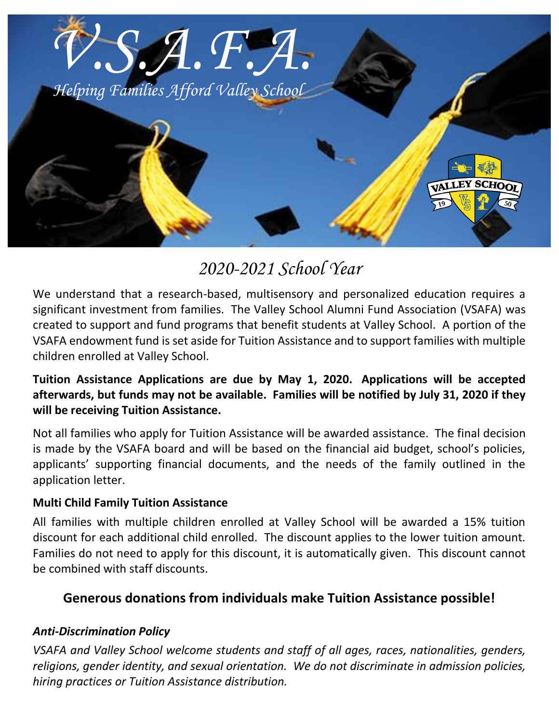

# *2020-2021 School Year*

We understand that a research-based, multisensory and personalized education requires a significant investment from families. The Valley School Alumni Fund Association (VSAFA) was created to support and fund programs that benefit students at Valley School. A portion of the VSAFA endowment fund is set aside for Tuition Assistance and to support families with multiple children enrolled at Valley School.

# **Tuition Assistance Applications are due by May 1, 2020. Applications will be accepted afterwards, but funds may not be available. Families will be notified by July 31, 2020 if they will be receiving Tuition Assistance.**

Not all families who apply for Tuition Assistance will be awarded assistance. The final decision is made by the VSAFA board and will be based on the financial aid budget, school's policies, applicants' supporting financial documents, and the needs of the family outlined in the application letter.

## **Multi Child Family Tuition Assistance**

All families with multiple children enrolled at Valley School will be awarded a 15% tuition discount for each additional child enrolled. The discount applies to the lower tuition amount. Families do not need to apply for this discount, it is automatically given. This discount cannot be combined with staff discounts.

# **Generous donations from individuals make Tuition Assistance possible!**

#### *Anti-Discrimination Policy*

*VSAFA and Valley School welcome students and staff of all ages, races, nationalities, genders, religions, gender identity, and sexual orientation. We do not discriminate in admission policies, hiring practices or Tuition Assistance distribution.*